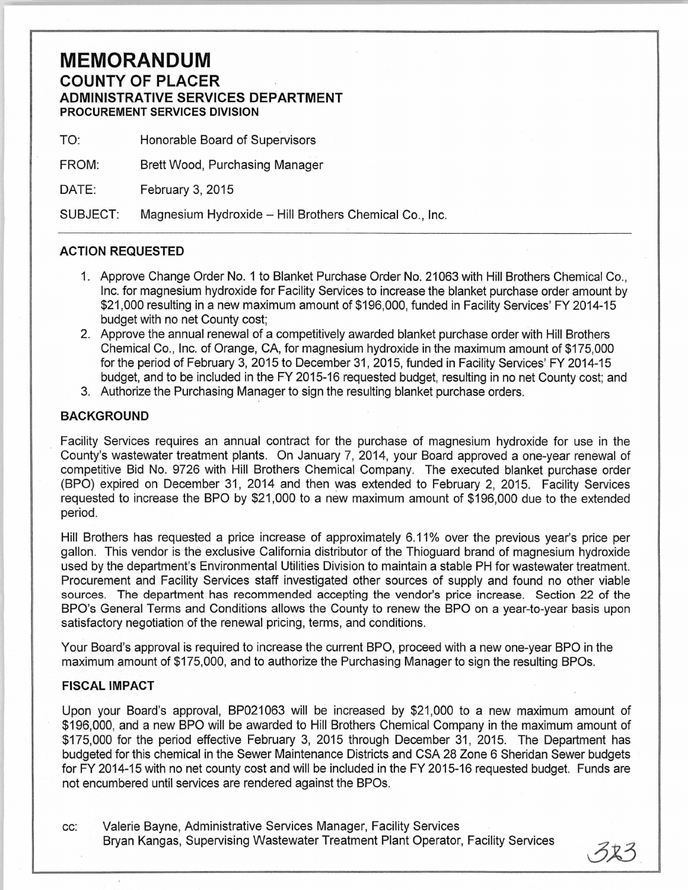## **MEMORANDUM COUNTY OF PLACER ADMINISTRATIVE SERVICES DEPARTMENT PROCUREMENT SERVICES DIVISION**

TO: Honorable Board of Supervisors

FROM: Brett Wood, Purchasing Manager

DATE: February 3, 2015

SUBJECT: Magnesium Hydroxide- Hill Brothers Chemical Co., Inc.

## **ACTION REQUESTED**

- 1. Approve Change Order No. 1 to Blanket Purchase Order No. 21 063 with Hill Brothers Chemical Co., Inc. for magnesium hydroxide for Facility Services to increase the blanket purchase order amount by \$21 ,000 resulting in a new maximum amount of \$196,000, funded in Facility Services' FY 2014-15 budget with no net County cost;
- 2. Approve the annual renewal of a competitively awarded blanket purchase order with Hill Brothers Chemical Co., Inc. of Orange, CA, for magnesium hydroxide in the maximum amount of \$175,000 for the period of February 3, 2015 to December 31 , 2015, funded in Facility Services' FY 2014-15 budget, and to be included in the FY 2015-16 requested budget, resulting in no net County cost; and
- 3. Authorize the Purchasing Manager to sign the resulting blanket purchase orders.

## **BACKGROUND**

Facility Services requires an annual contract for the purchase of magnesium hydroxide for use in the County's wastewater treatment plants. On January 7, 2014, your Board approved a one-year renewal of competitive Bid No. 9726 with Hill Brothers Chemical Company. The executed blanket purchase order (BPO) expired on December 31, 2014 and then was extended to February 2, 2015. Facility Services requested to increase the BPO by \$21 ,000 to a new maximum amount of \$196,000 due to the extended period.

Hill Brothers has requested a price increase of approximately 6.11% over the previous year's price per gallon. This vendor is the exclusive California distributor of the Thioguard brand of magnesium hydroxide used by the department's Environmental Utilities Division to maintain a stable PH for wastewater treatment. Procurement and Facility Services staff investigated other sources of supply and found no other viable sources. The department has recommended accepting the vendor's price increase. Section 22 of the BPO's General Terms and Conditions allows the County to renew the BPO on a year-to-year basis upon satisfactory negotiation of the renewal pricing, terms, and conditions.

Your Board's approval is required to increase the current BPO, proceed with a new one-year BPO in the maximum amount of \$175,000, and to authorize the Purchasing Manager to sign the resulting BPOs.

## **FISCAL IMPACT**

Upon your Board's approval, BP021063 will be increased by \$21,000 to a new maximum amount of \$196,000, and a new BPO will be awarded to Hill Brothers Chemical Company in the maximum amount of \$175,000 for the period effective February 3, 2015 through December 31 , 2015. The Department has budgeted for this chemical in the Sewer Maintenance Districts and CSA 28 Zone 6 Sheridan Sewer budgets for FY 2014-15 with no net county cost and will be included in the FY 2015-16 requested budget. Funds are not encumbered until services are rendered against the BPOs.

cc: Valerie Bayne, Administrative Services Manager, Facility Services Bryan Kangas, Supervising Wastewater Treatment Plant Operator, Facility Services

つふつ